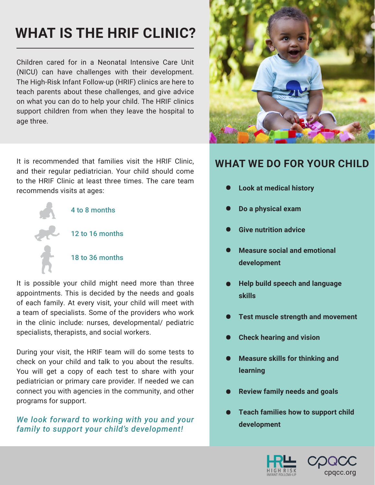# **WHAT IS THE HRIF CLINIC?**

Children cared for in a Neonatal Intensive Care Unit (NICU) can have challenges with their development. The High-Risk Infant Follow-up (HRIF) clinics are here to teach parents about these challenges, and give advice on what you can do to help your child. The HRIF clinics support children from when they leave the hospital to age three.

It is recommended that families visit the HRIF Clinic, and their regular pediatrician. Your child should come to the HRIF Clinic at least three times. The care team recommends visits at ages:



It is possible your child might need more than three appointments. This is decided by the needs and goals of each family. At every visit, your child will meet with a team of specialists. Some of the providers who work in the clinic include: nurses, developmental/ pediatric specialists, therapists, and social workers.

During your visit, the HRIF team will do some tests to check on your child and talk to you about the results. You will get a copy of each test to share with your pediatrician or primary care provider. If needed we can connect you with agencies in the community, and other programs for support.

#### *We look forward to working with you and your family to support your child's development!*



#### **WHAT WE DO FOR YOUR CHILD**

- **• Look at medical history •**
- **• Do a physical exam •**
- **• Give nutrition advice •**
- **• Measure social and emotional development •**
- **• Help build speech and language skills •**
- **• Test muscle strength and movement •**
- **• Check hearing and vision •**
- **• Measure skills for thinking and learning •**
- **• Review family needs and goals •**
- **• Teach families how to support child development •**



© *2020, CPQCC. Some rights reserved.* | www.cpqcc.org